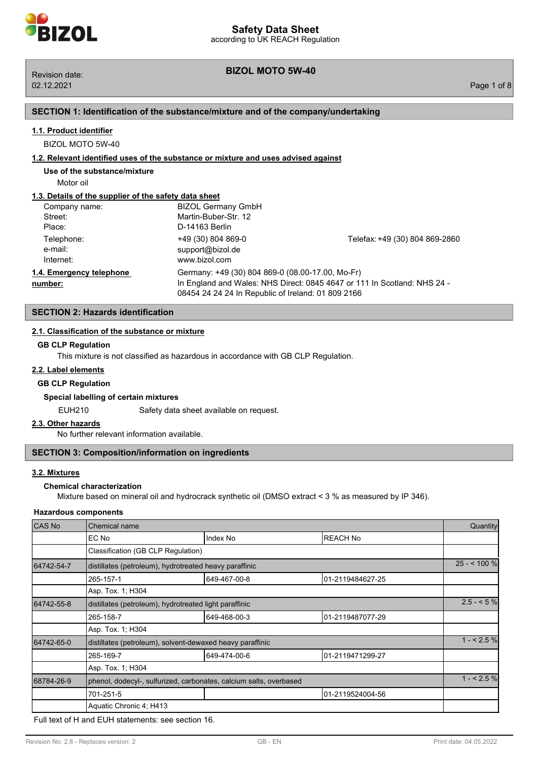# **BIZOL MOTO 5W-40** Revision date:

## **SECTION 1: Identification of the substance/mixture and of the company/undertaking**

## **1.1. Product identifier**

BIZOL MOTO 5W-40

#### **1.2. Relevant identified uses of the substance or mixture and uses advised against**

**Use of the substance/mixture**

Motor oil

## **1.3. Details of the supplier of the safety data sheet**

| Company name:                       | <b>BIZOL Germany GmbH</b>                                                                              |                                                                          |
|-------------------------------------|--------------------------------------------------------------------------------------------------------|--------------------------------------------------------------------------|
| Street:                             | Martin-Buber-Str. 12                                                                                   |                                                                          |
| Place:                              | D-14163 Berlin                                                                                         |                                                                          |
| Telephone:<br>e-mail:<br>Internet:  | +49 (30) 804 869-0<br>support@bizol.de<br>www.bizol.com                                                | Telefax: +49 (30) 804 869-2860                                           |
| 1.4. Emergency telephone<br>number: | Germany: +49 (30) 804 869-0 (08.00-17.00, Mo-Fr)<br>08454 24 24 24 In Republic of Ireland: 01 809 2166 | In England and Wales: NHS Direct: 0845 4647 or 111 In Scotland: NHS 24 - |

## **SECTION 2: Hazards identification**

## **2.1. Classification of the substance or mixture**

## **GB CLP Regulation**

This mixture is not classified as hazardous in accordance with GB CLP Regulation.

## **2.2. Label elements**

#### **GB CLP Regulation**

## **Special labelling of certain mixtures**

EUH210 Safety data sheet available on request.

#### **2.3. Other hazards**

No further relevant information available.

## **SECTION 3: Composition/information on ingredients**

## **3.2. Mixtures**

## **Chemical characterization**

Mixture based on mineral oil and hydrocrack synthetic oil (DMSO extract < 3 % as measured by IP 346).

#### **Hazardous components**

| CAS No     | Chemical name                                                      |              |                  |            |
|------------|--------------------------------------------------------------------|--------------|------------------|------------|
|            | EC No                                                              | Index No     | <b>REACH No</b>  |            |
|            | Classification (GB CLP Regulation)                                 |              |                  |            |
| 64742-54-7 | distillates (petroleum), hydrotreated heavy paraffinic             |              |                  |            |
|            | 265-157-1                                                          | 649-467-00-8 | 01-2119484627-25 |            |
|            | Asp. Tox. 1; H304                                                  |              |                  |            |
| 64742-55-8 | distillates (petroleum), hydrotreated light paraffinic             |              |                  | $2.5 - 5%$ |
|            | 265-158-7                                                          | 649-468-00-3 | 01-2119487077-29 |            |
|            | Asp. Tox. 1; H304                                                  |              |                  |            |
| 64742-65-0 | distillates (petroleum), solvent-dewaxed heavy paraffinic          |              |                  | $1 - 2.5%$ |
|            | 265-169-7                                                          | 649-474-00-6 | 01-2119471299-27 |            |
|            | Asp. Tox. 1; H304                                                  |              |                  |            |
| 68784-26-9 | phenol, dodecyl-, sulfurized, carbonates, calcium salts, overbased |              |                  | $1 - 2.5%$ |
|            | 701-251-5                                                          |              | 01-2119524004-56 |            |
|            | Aquatic Chronic 4; H413                                            |              |                  |            |

Full text of H and EUH statements: see section 16.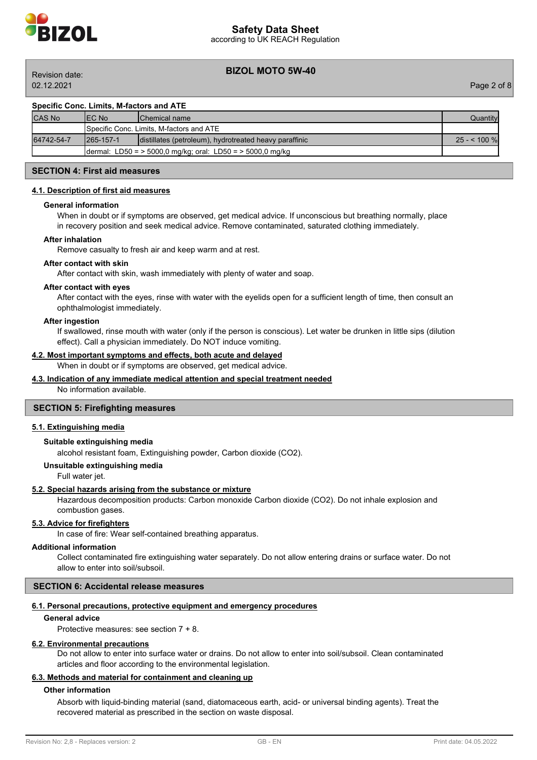

02.12.2021 Page 2 of 8

## **BIZOL MOTO 5W-40** Revision date:

## **Specific Conc. Limits, M-factors and ATE**

| <b>CAS No</b> | IEC No     | <b>IChemical name</b>                                      | Quantitvl     |
|---------------|------------|------------------------------------------------------------|---------------|
|               |            | <b>I</b> Specific Conc. Limits. M-factors and ATE          |               |
| 64742-54-7    | 1265-157-1 | distillates (petroleum), hydrotreated heavy paraffinic     | $25 - 100 \%$ |
|               |            | dermal: LD50 = > 5000,0 mg/kg; oral: LD50 = > 5000,0 mg/kg |               |

## **SECTION 4: First aid measures**

#### **4.1. Description of first aid measures**

#### **General information**

When in doubt or if symptoms are observed, get medical advice. If unconscious but breathing normally, place in recovery position and seek medical advice. Remove contaminated, saturated clothing immediately.

#### **After inhalation**

Remove casualty to fresh air and keep warm and at rest.

#### **After contact with skin**

After contact with skin, wash immediately with plenty of water and soap.

#### **After contact with eyes**

After contact with the eyes, rinse with water with the eyelids open for a sufficient length of time, then consult an ophthalmologist immediately.

#### **After ingestion**

If swallowed, rinse mouth with water (only if the person is conscious). Let water be drunken in little sips (dilution effect). Call a physician immediately. Do NOT induce vomiting.

## **4.2. Most important symptoms and effects, both acute and delayed**

When in doubt or if symptoms are observed, get medical advice.

## **4.3. Indication of any immediate medical attention and special treatment needed**

No information available.

#### **SECTION 5: Firefighting measures**

#### **5.1. Extinguishing media**

## **Suitable extinguishing media**

alcohol resistant foam, Extinguishing powder, Carbon dioxide (CO2).

#### **Unsuitable extinguishing media**

Full water jet.

### **5.2. Special hazards arising from the substance or mixture**

Hazardous decomposition products: Carbon monoxide Carbon dioxide (CO2). Do not inhale explosion and combustion gases.

#### **5.3. Advice for firefighters**

In case of fire: Wear self-contained breathing apparatus.

## **Additional information**

Collect contaminated fire extinguishing water separately. Do not allow entering drains or surface water. Do not allow to enter into soil/subsoil.

## **SECTION 6: Accidental release measures**

#### **6.1. Personal precautions, protective equipment and emergency procedures**

#### **General advice**

Protective measures: see section 7 + 8.

#### **6.2. Environmental precautions**

Do not allow to enter into surface water or drains. Do not allow to enter into soil/subsoil. Clean contaminated articles and floor according to the environmental legislation.

## **6.3. Methods and material for containment and cleaning up**

## **Other information**

Absorb with liquid-binding material (sand, diatomaceous earth, acid- or universal binding agents). Treat the recovered material as prescribed in the section on waste disposal.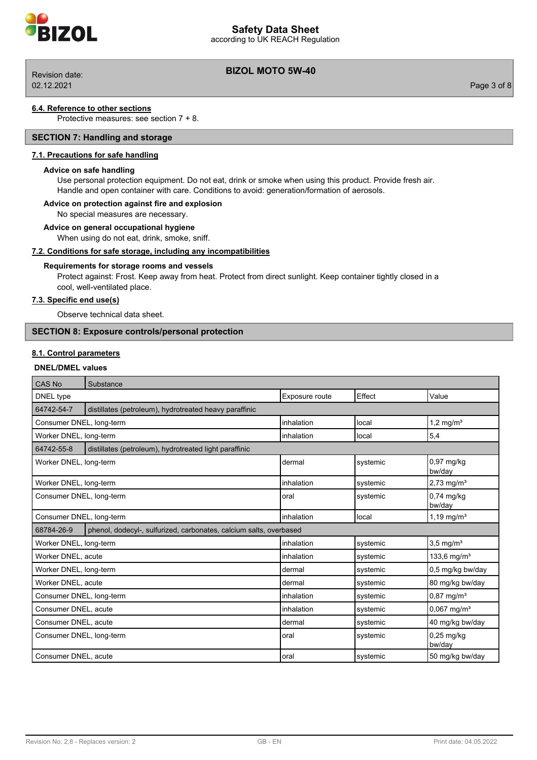

according to UK REACH Regulation

02.12.2021 Page 3 of 8

# **BIZOL MOTO 5W-40** Revision date:

#### **6.4. Reference to other sections**

**70L** 

Protective measures: see section 7 + 8.

## **SECTION 7: Handling and storage**

## **7.1. Precautions for safe handling**

## **Advice on safe handling**

Use personal protection equipment. Do not eat, drink or smoke when using this product. Provide fresh air. Handle and open container with care. Conditions to avoid: generation/formation of aerosols.

## **Advice on protection against fire and explosion**

No special measures are necessary.

#### **Advice on general occupational hygiene**

When using do not eat, drink, smoke, sniff.

## **7.2. Conditions for safe storage, including any incompatibilities**

## **Requirements for storage rooms and vessels**

Protect against: Frost. Keep away from heat. Protect from direct sunlight. Keep container tightly closed in a cool, well-ventilated place.

## **7.3. Specific end use(s)**

Observe technical data sheet.

## **SECTION 8: Exposure controls/personal protection**

## **8.1. Control parameters**

#### **DNEL/DMEL values**

| CAS No                   | Substance                                                          |                |          |                           |
|--------------------------|--------------------------------------------------------------------|----------------|----------|---------------------------|
| DNEL type                |                                                                    | Exposure route | Effect   | Value                     |
| 64742-54-7               | distillates (petroleum), hydrotreated heavy paraffinic             |                |          |                           |
| Consumer DNEL, long-term |                                                                    | inhalation     | local    | $1,2 \text{ mg/m}^3$      |
| Worker DNEL, long-term   |                                                                    | inhalation     | local    | 5,4                       |
| 64742-55-8               | distillates (petroleum), hydrotreated light paraffinic             |                |          |                           |
| Worker DNEL, long-term   |                                                                    | dermal         | systemic | $0.97$ mg/kg<br>bw/day    |
| Worker DNEL, long-term   |                                                                    | inhalation     | systemic | $2,73$ mg/m <sup>3</sup>  |
| Consumer DNEL, long-term |                                                                    | oral           | systemic | $0,74$ mg/kg<br>bw/day    |
| Consumer DNEL, long-term |                                                                    | inhalation     | llocal   | 1,19 mg/m <sup>3</sup>    |
| 68784-26-9               | phenol, dodecyl-, sulfurized, carbonates, calcium salts, overbased |                |          |                           |
| Worker DNEL, long-term   |                                                                    | inhalation     | systemic | $3,5$ mg/m <sup>3</sup>   |
| Worker DNEL, acute       |                                                                    | inhalation     | systemic | 133,6 mg/m <sup>3</sup>   |
| Worker DNEL, long-term   |                                                                    | dermal         | systemic | 0,5 mg/kg bw/day          |
| Worker DNEL, acute       |                                                                    | dermal         | systemic | 80 mg/kg bw/day           |
| Consumer DNEL, long-term |                                                                    | inhalation     | systemic | $0,87$ mg/m <sup>3</sup>  |
| Consumer DNEL, acute     |                                                                    | inhalation     | systemic | $0,067$ mg/m <sup>3</sup> |
| Consumer DNEL, acute     |                                                                    | dermal         | systemic | 40 mg/kg bw/day           |
| Consumer DNEL, long-term |                                                                    | oral           | systemic | $0,25$ mg/kg<br>bw/day    |
| Consumer DNEL, acute     |                                                                    | loral          | systemic | 50 mg/kg bw/day           |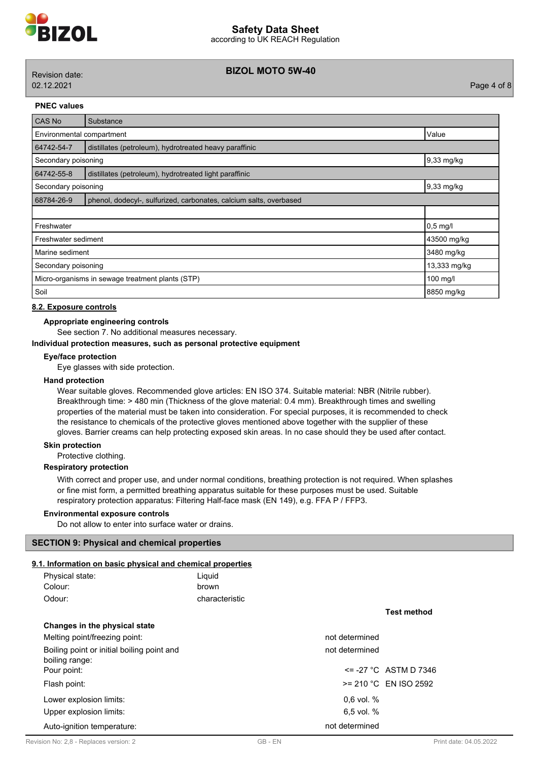

## **BIZOL MOTO 5W-40** Revision date:

02.12.2021 Page 4 of 8

#### **PNEC values**

| <b>CAS No</b>                                                                    | Substance                                                    |              |
|----------------------------------------------------------------------------------|--------------------------------------------------------------|--------------|
| Environmental compartment                                                        |                                                              | Value        |
| 64742-54-7                                                                       | distillates (petroleum), hydrotreated heavy paraffinic       |              |
| Secondary poisoning                                                              |                                                              | 9,33 mg/kg   |
| 64742-55-8                                                                       | distillates (petroleum), hydrotreated light paraffinic       |              |
| Secondary poisoning                                                              |                                                              | 9,33 mg/kg   |
| 68784-26-9<br>phenol, dodecyl-, sulfurized, carbonates, calcium salts, overbased |                                                              |              |
|                                                                                  |                                                              |              |
| Freshwater<br>$0,5$ mg/l                                                         |                                                              |              |
| 43500 mg/kg<br>Freshwater sediment                                               |                                                              |              |
| Marine sediment<br>3480 mg/kg                                                    |                                                              |              |
| Secondary poisoning                                                              |                                                              | 13,333 mg/kg |
|                                                                                  | Micro-organisms in sewage treatment plants (STP)<br>100 mg/l |              |
| Soil<br>8850 mg/kg                                                               |                                                              |              |

## **8.2. Exposure controls**

## **Appropriate engineering controls**

See section 7. No additional measures necessary.

## **Individual protection measures, such as personal protective equipment**

## **Eye/face protection**

Eye glasses with side protection.

#### **Hand protection**

Wear suitable gloves. Recommended glove articles: EN ISO 374. Suitable material: NBR (Nitrile rubber). Breakthrough time: > 480 min (Thickness of the glove material: 0.4 mm). Breakthrough times and swelling properties of the material must be taken into consideration. For special purposes, it is recommended to check the resistance to chemicals of the protective gloves mentioned above together with the supplier of these gloves. Barrier creams can help protecting exposed skin areas. In no case should they be used after contact.

#### **Skin protection**

#### Protective clothing.

## **Respiratory protection**

With correct and proper use, and under normal conditions, breathing protection is not required. When splashes or fine mist form, a permitted breathing apparatus suitable for these purposes must be used. Suitable respiratory protection apparatus: Filtering Half-face mask (EN 149), e.g. FFA P / FFP3.

#### **Environmental exposure controls**

Do not allow to enter into surface water or drains.

## **SECTION 9: Physical and chemical properties**

#### **9.1. Information on basic physical and chemical properties**

| Physical state:                                              | Liquid         |       |                |                          |                        |
|--------------------------------------------------------------|----------------|-------|----------------|--------------------------|------------------------|
| Colour:                                                      | brown          |       |                |                          |                        |
| Odour:                                                       | characteristic |       |                |                          |                        |
|                                                              |                |       |                | <b>Test method</b>       |                        |
| Changes in the physical state                                |                |       |                |                          |                        |
| Melting point/freezing point:                                |                |       | not determined |                          |                        |
| Boiling point or initial boiling point and<br>boiling range: |                |       | not determined |                          |                        |
| Pour point:                                                  |                |       |                | $\le$ -27 °C ASTM D 7346 |                        |
| Flash point:                                                 |                |       |                | $>= 210 °C$ EN ISO 2592  |                        |
| Lower explosion limits:                                      |                |       | $0.6$ vol. $%$ |                          |                        |
| Upper explosion limits:                                      |                |       | $6.5$ vol. $%$ |                          |                        |
| Auto-ignition temperature:                                   |                |       | not determined |                          |                        |
| Revision No: 2,8 - Replaces version: 2                       |                | GB-EN |                |                          | Print date: 04.05.2022 |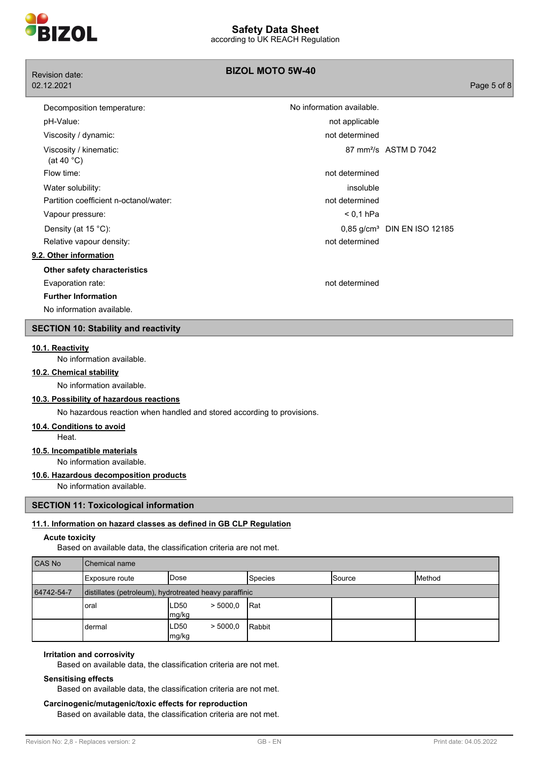

| <b>Revision date:</b>                          | <b>BIZOL MOTO 5W-40</b>   |                                         |             |
|------------------------------------------------|---------------------------|-----------------------------------------|-------------|
| 02.12.2021                                     |                           |                                         | Page 5 of 8 |
| Decomposition temperature:                     | No information available. |                                         |             |
| pH-Value:                                      | not applicable            |                                         |             |
| Viscosity / dynamic:                           | not determined            |                                         |             |
| Viscosity / kinematic:<br>(at 40 $^{\circ}$ C) |                           | 87 mm <sup>2</sup> /s ASTM D 7042       |             |
| Flow time:                                     | not determined            |                                         |             |
| Water solubility:                              | insoluble                 |                                         |             |
| Partition coefficient n-octanol/water:         | not determined            |                                         |             |
| Vapour pressure:                               | $< 0.1$ hPa               |                                         |             |
| Density (at 15 °C):                            |                           | 0,85 g/cm <sup>3</sup> DIN EN ISO 12185 |             |
| Relative vapour density:                       | not determined            |                                         |             |
| 9.2. Other information                         |                           |                                         |             |
| Other safety characteristics                   |                           |                                         |             |
| Evaporation rate:                              | not determined            |                                         |             |
| <b>Further Information</b>                     |                           |                                         |             |
| No information available.                      |                           |                                         |             |

## **SECTION 10: Stability and reactivity**

#### **10.1. Reactivity**

No information available.

#### **10.2. Chemical stability**

No information available.

## **10.3. Possibility of hazardous reactions**

No hazardous reaction when handled and stored according to provisions.

## **10.4. Conditions to avoid**

Heat.

#### **10.5. Incompatible materials**

No information available.

#### **10.6. Hazardous decomposition products**

No information available.

## **SECTION 11: Toxicological information**

#### **11.1. Information on hazard classes as defined in GB CLP Regulation**

#### **Acute toxicity**

Based on available data, the classification criteria are not met.

| CAS No     | <b>Chemical name</b>                                   |                             |                |               |         |
|------------|--------------------------------------------------------|-----------------------------|----------------|---------------|---------|
|            | Exposure route                                         | lDose                       | <b>Species</b> | <b>Source</b> | IMethod |
| 64742-54-7 | distillates (petroleum), hydrotreated heavy paraffinic |                             |                |               |         |
|            | oral                                                   | ILD50<br>> 5000.0<br> mg/kg | <b>I</b> Rat   |               |         |
|            | dermal                                                 | ILD50<br>> 5000.0<br>mg/kg  | <b>Rabbit</b>  |               |         |

#### **Irritation and corrosivity**

Based on available data, the classification criteria are not met.

## **Sensitising effects**

Based on available data, the classification criteria are not met.

## **Carcinogenic/mutagenic/toxic effects for reproduction** Based on available data, the classification criteria are not met.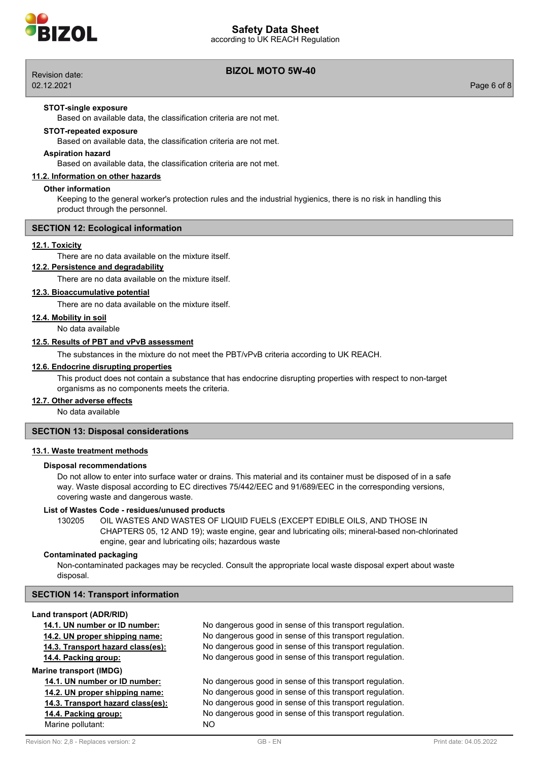# **Safety Data Sheet**

according to UK REACH Regulation



| Revision date: | BIZUL MUTU 5W-40 |             |
|----------------|------------------|-------------|
| 02.12.2021     |                  | Page 6 of 8 |

## **BIZOL MOTO 5W-40**

#### **STOT-single exposure**

Based on available data, the classification criteria are not met.

#### **STOT-repeated exposure**

Based on available data, the classification criteria are not met.

## **Aspiration hazard**

Based on available data, the classification criteria are not met.

## **11.2. Information on other hazards**

#### **Other information**

Keeping to the general worker's protection rules and the industrial hygienics, there is no risk in handling this product through the personnel.

#### **SECTION 12: Ecological information**

## **12.1. Toxicity**

There are no data available on the mixture itself.

## **12.2. Persistence and degradability**

There are no data available on the mixture itself.

## **12.3. Bioaccumulative potential**

There are no data available on the mixture itself.

## **12.4. Mobility in soil**

No data available

## **12.5. Results of PBT and vPvB assessment**

The substances in the mixture do not meet the PBT/vPvB criteria according to UK REACH.

#### **12.6. Endocrine disrupting properties**

This product does not contain a substance that has endocrine disrupting properties with respect to non-target organisms as no components meets the criteria.

#### **12.7. Other adverse effects**

No data available

#### **SECTION 13: Disposal considerations**

#### **13.1. Waste treatment methods**

#### **Disposal recommendations**

Do not allow to enter into surface water or drains. This material and its container must be disposed of in a safe way. Waste disposal according to EC directives 75/442/EEC and 91/689/EEC in the corresponding versions, covering waste and dangerous waste.

#### **List of Wastes Code - residues/unused products**

130205 OIL WASTES AND WASTES OF LIQUID FUELS (EXCEPT EDIBLE OILS, AND THOSE IN CHAPTERS 05, 12 AND 19); waste engine, gear and lubricating oils; mineral-based non-chlorinated engine, gear and lubricating oils; hazardous waste

#### **Contaminated packaging**

Non-contaminated packages may be recycled. Consult the appropriate local waste disposal expert about waste disposal.

## **SECTION 14: Transport information**

#### **Land transport (ADR/RID)**

**14.1. UN number or ID number:** No dangerous good in sense of this transport regulation. **14.2. UN proper shipping name:** No dangerous good in sense of this transport regulation. **14.3. Transport hazard class(es):** No dangerous good in sense of this transport regulation. **14.4. Packing group:** No dangerous good in sense of this transport regulation. **Marine transport (IMDG) 14.1. UN number or ID number:** No dangerous good in sense of this transport regulation. **14.2. UN proper shipping name:** No dangerous good in sense of this transport regulation. **14.3. Transport hazard class(es):** No dangerous good in sense of this transport regulation.

**14.4. Packing group:** No dangerous good in sense of this transport regulation.

Marine pollutant: NO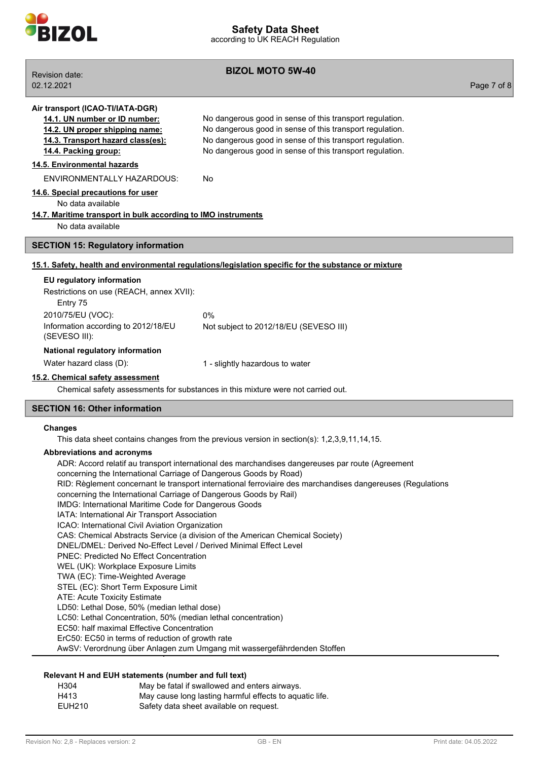

**BIZOL MOTO 5W-40** Revision date: 02.12.2021 Page 7 of 8 **Air transport (ICAO-TI/IATA-DGR) 14.1. UN number or ID number:** No dangerous good in sense of this transport regulation. **14.2. UN proper shipping name:** No dangerous good in sense of this transport regulation. **14.3. Transport hazard class(es):** No dangerous good in sense of this transport regulation. **14.4. Packing group:** No dangerous good in sense of this transport regulation. **14.5. Environmental hazards** ENVIRONMENTALLY HAZARDOUS: No **14.6. Special precautions for user** No data available **14.7. Maritime transport in bulk according to IMO instruments** No data available **SECTION 15: Regulatory information 15.1. Safety, health and environmental regulations/legislation specific for the substance or mixture EU regulatory information** Restrictions on use (REACH, annex XVII): Entry 75 2010/75/EU (VOC): 0% Information according to 2012/18/EU (SEVESO III): Not subject to 2012/18/EU (SEVESO III) **National regulatory information** Water hazard class (D):  $1 -$  slightly hazardous to water **15.2. Chemical safety assessment** Chemical safety assessments for substances in this mixture were not carried out. **SECTION 16: Other information Changes** This data sheet contains changes from the previous version in section(s): 1,2,3,9,11,14,15. **Abbreviations and acronyms** ADR: Accord relatif au transport international des marchandises dangereuses par route (Agreement concerning the International Carriage of Dangerous Goods by Road) RID: Règlement concernant le transport international ferroviaire des marchandises dangereuses (Regulations concerning the International Carriage of Dangerous Goods by Rail) IMDG: International Maritime Code for Dangerous Goods IATA: International Air Transport Association ICAO: International Civil Aviation Organization CAS: Chemical Abstracts Service (a division of the American Chemical Society) DNEL/DMEL: Derived No-Effect Level / Derived Minimal Effect Level PNEC: Predicted No Effect Concentration WEL (UK): Workplace Exposure Limits

TWA (EC): Time-Weighted Average

STEL (EC): Short Term Exposure Limit

ATE: Acute Toxicity Estimate

LD50: Lethal Dose, 50% (median lethal dose)

LC50: Lethal Concentration, 50% (median lethal concentration)

EC50: half maximal Effective Concentration

ErC50: EC50 in terms of reduction of growth rate

AwSV: Verordnung über Anlagen zum Umgang mit wassergefährdenden Stoffen

## **Relevant H and EUH statements (number and full text)**

| H304           | May be fatal if swallowed and enters airways.           |
|----------------|---------------------------------------------------------|
| H413           | May cause long lasting harmful effects to aquatic life. |
| <b>FULLOJO</b> | Osfaka data aka at anglishta an namna at                |